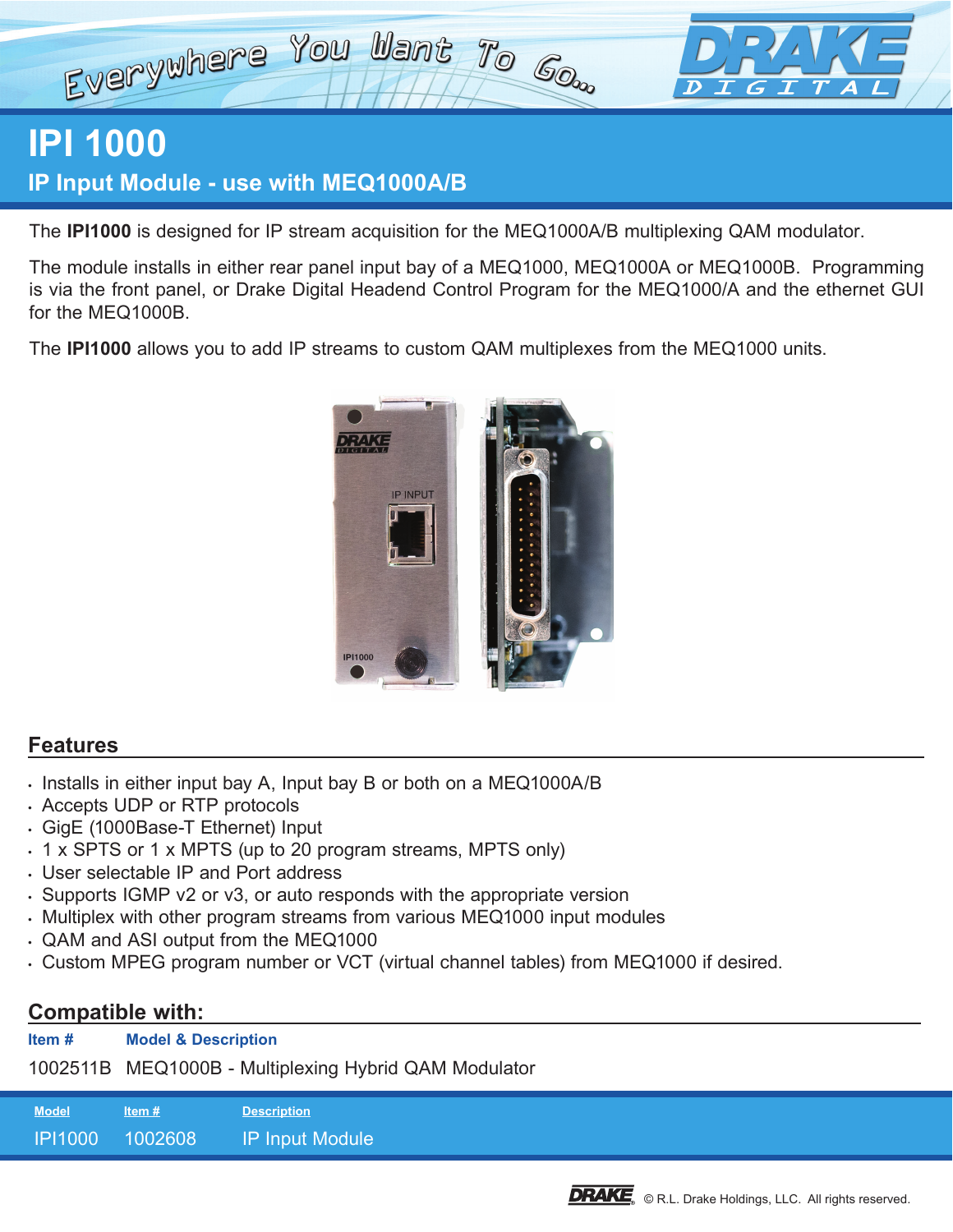

## **IPI 1000**

**IP Input Module - use with MEQ1000A/B** 

The **IPI1000** is designed for IP stream acquisition for the MEQ1000A/B multiplexing QAM modulator.

The module installs in either rear panel input bay of a MEQ1000, MEQ1000A or MEQ1000B. Programming is via the front panel, or Drake Digital Headend Control Program for the MEQ1000/A and the ethernet GUI for the MEQ1000B.

The **IPI1000** allows you to add IP streams to custom QAM multiplexes from the MEQ1000 units.



## **Features**

- Installs in either input bay A, Input bay B or both on a MEQ1000A/B
- Accepts UDP or RTP protocols
- GigE (1000Base-T Ethernet) Input
- 1 x SPTS or 1 x MPTS (up to 20 program streams, MPTS only)
- User selectable IP and Port address
- Supports IGMP v2 or v3, or auto responds with the appropriate version
- Multiplex with other program streams from various MEQ1000 input modules
- QAM and ASI output from the MEQ1000
- Custom MPEG program number or VCT (virtual channel tables) from MEQ1000 if desired.

## **Compatible with:**

| Item $#$ | <b>Model &amp; Description</b> |  |
|----------|--------------------------------|--|
|          |                                |  |

1002511B MEQ1000B - Multiplexing Hybrid QAM Modulator

| <b>Model</b>   | ltem #  | <b>Description</b> |
|----------------|---------|--------------------|
| <b>IP11000</b> | 1002608 | IP Input Module'   |